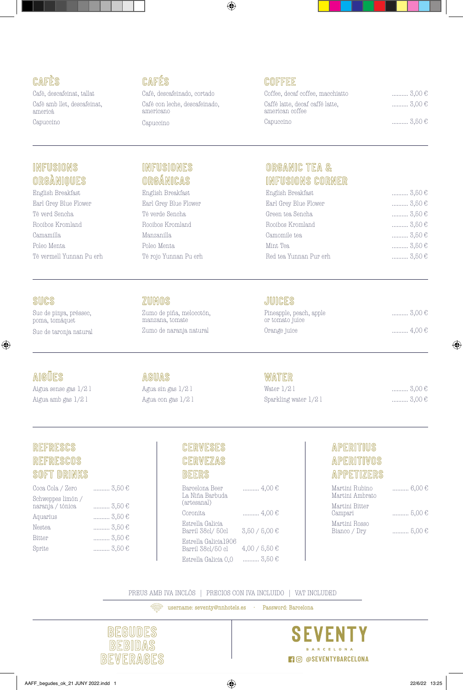# **CAFÈS**

Cafè, descafeinat, tallat Cafè amb llet, descafeinat, americà Capuccino

# **INFUSIONS ORGÀNIQUES**

English Breakfast Earl Grey Blue Flower Tè verd Sencha Rooibos Kromland Camamilla Poleo Menta Tè vermell Yunnan Pu erh

#### **CAFÉS**

Café, descafeinado, cortado Café con leche, descafeinado, americano Capuccino

# **COFFEE**

| Coffee, decaf coffee, macchiatto                   | $\ldots \ldots \ldots 3,00 \in$ |
|----------------------------------------------------|---------------------------------|
| Caffé latte, decaf caffé latte,<br>american coffee | $\ldots \ldots \ldots 3,00 \in$ |
| Capuccino                                          | $\ldots \ldots \ldots 3.50 \in$ |

#### **INFUSIONES ORGÁNICAS**

English Breakfast Earl Grey Blue Flower Té verde Sencha Rooibos Kromland Manzanilla Poleo Menta Té rojo Yunnan Pu erh

#### **ORGANIC TEA & INFUSIONS CORNER**

| English Breakfast      | $3,50 \in$ |
|------------------------|------------|
| Earl Grey Blue Flower  | $3,50 \in$ |
| Green tea Sencha       | $3,50 \in$ |
| Rooibos Kromland       | $3,50 \in$ |
| Camomile tea           | $3,50 \in$ |
| Mint Tea               | $3,50 \in$ |
| Red tea Yunnan Pur erh | $3,50 \in$ |
|                        |            |

#### **SUCS**

Suc de pinya, préssec, poma, tomàquet

Suc de taronja natural

# **AIGÜES**

Aigua sense gas 1/2 l Aigua amb gas 1/2 l

#### **ZUMOS**  Zumo de piña, melocotón,

manzana, tomate Zumo de naranja natural

# **AGUAS**

Agua sin gas 1/2 l Agua con gas 1/2 l

# **JUICES**

| Pineapple, peach, apple<br>or tomato juice | $\ldots \ldots \ldots 3,00 \in$ |
|--------------------------------------------|---------------------------------|
| Orange juice                               |                                 |

#### **WATER**

| Water 1/2 l           | $\ldots \ldots \ldots 3,00 \in$ |
|-----------------------|---------------------------------|
| Sparkling water 1/2 l | $\ldots \ldots \ldots 3,00 \in$ |

#### **REFRESCS REFRESCOS SOFT DRINKS**

| Coca Cola / Zero                      | $\ldots$ 3,50 € |
|---------------------------------------|-----------------|
| Schweppes limón /<br>naranja / tónica | $3,50 \in$      |
| Aquarius                              | $5,50€$         |
| <b>Nestea</b>                         | $3,50 \in$      |
| <b>Bitter</b>                         | $3,50 \in$      |
| Sprite                                | $3,50 \in$      |
|                                       |                 |

# **CERVESES CERVEZAS**

#### **BEERS**

| Barcelona Beer<br>La Niña Barbuda<br>(artesanal) | ……… 4,00 €        |
|--------------------------------------------------|-------------------|
| Coronita                                         | $\ldots$ 4,00 €   |
| Estrella Galicia<br>Barril 38cl/50cl             | $3,50 / 5,00 \in$ |
| Estrella Galicia1906<br>Barril 38cl/50 cl        | $4,00 / 5,50 \in$ |
| Estrella Galicia 0.0                             | 3,50 €            |

# **APERITIUS APERITIVOS APPETIZERS**

| Martini Rubino<br>Martini Ambrato | $\ldots \ldots \ldots \ldots 6,00 \in$ |
|-----------------------------------|----------------------------------------|
| Martini Bitter<br>Campari         | $\ldots \ldots \ldots 5,00 \in$        |
| Martini Rosso<br>Bianco / Dry     | $\ldots \ldots \ldots 5,00 \in$        |

PREUS AMB IVA INCLÒS | PRECIOS CON IVA INCLUIDO | VAT INCLUDED

username: seventy@nnhotels.es · Password: Barcelona



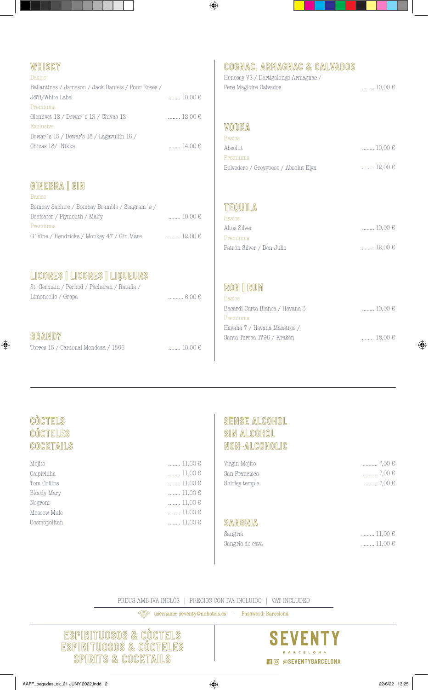# **WHISKY**

| Basics                                              |                  |
|-----------------------------------------------------|------------------|
| Ballantines / Jameson / Jack Daniels / Four Roses / |                  |
| J&B/White Label                                     | $\ldots$ 10,00 € |
| Premiums                                            |                  |
| Glenlivet 12 / Dewar's 12 / Chivas 12               | $\ldots$ 12,00 € |
| Exclusive                                           |                  |
| Dewar's 15 / Dewar's 18 / Lagavullin 16 /           |                  |
| Chivas 18/ Nikka                                    | $\ldots$ 14,00 € |
|                                                     |                  |

# **GINEBRA | GIN**

| <b>Basics</b>                                 |                                  |
|-----------------------------------------------|----------------------------------|
| Bombay Saphire / Bombay Bramble / Seagram's / |                                  |
| Beefeater / Plymouth / Malfy                  | $\ldots \ldots \ldots 10,00 \in$ |
| Premiums                                      |                                  |
| G 'Vine / Hendricks / Monkey 47 / Gin Mare    | $12,00 \in$                      |

# **LICORES | LICORES | LIQUEURS**

| St. Germain / Pernod / Pacharan / Ratafia / |             |
|---------------------------------------------|-------------|
| Limoncello / Grapa                          | ………… 6.00 € |

#### **BRANDY**

|  |  |  |  |  | Torres 15 / Cardenal Mendoza / 1866 |  |  |
|--|--|--|--|--|-------------------------------------|--|--|
|--|--|--|--|--|-------------------------------------|--|--|

# **COGNAC, ARMAGNAC & CALVADOS**

| Henessy VS / Dartigalonge Armagnac / |                                  |
|--------------------------------------|----------------------------------|
| Pere Magloire Calvados               | $\ldots \ldots \ldots 10,00 \in$ |

#### **VODKA**

| <b>Basics</b>                        |                                  |
|--------------------------------------|----------------------------------|
| Absolut                              | $\ldots \ldots \ldots 10,00 \in$ |
| Premiums                             |                                  |
| Belvedere / Greygoose / Absolut Elyx | $\ldots \ldots \ldots$ 12,00 €   |

# **TEQUILA**

| <b>Basics</b>             |                                  |
|---------------------------|----------------------------------|
| Altos Silver              | $\ldots \ldots \ldots 10,00 \in$ |
| Premiums                  |                                  |
| Patrón Silver / Don Julio | $\ldots \ldots \ldots$ 12,00 €   |

# **RON | RUM**

| <b>Basics</b>                   |                                |
|---------------------------------|--------------------------------|
| Bacardi Carta Blanca / Havana 3 | $\ldots$ 10,00 €               |
| Premiums                        |                                |
| Havana 7 / Havana Maestros /    |                                |
| Santa Teresa 1796 / Kraken      | $\ldots \ldots \ldots$ 12,00 € |
|                                 |                                |

# **CÒCTELS CÓCTELES COCKTAILS**

| Mojito       |
|--------------|
| Caipirinha   |
| Tom Collins  |
| Bloody Mary  |
| Negroni      |
| Moscow Mule  |
| Cosmopolitan |
|              |

#### ........ 11,00 € ........ 11,00 € ........ 11,00 € ........ 11,00 € ........ 11,00 € ........ 11,00 € ........ 11,00 €

........ 10,00 €

#### **SENSE ALCOHOL SIN ALCOHOL NON-ALCOHOLIC**

| Virgin Mojito  | ………… 7,00 € |
|----------------|-------------|
| San Francisco  | ………… 7,00 € |
| Shirley temple | ……… 7,00 €  |

#### **SANGRIA**

| Sangria         | $ 11,00 \in$                     |  |
|-----------------|----------------------------------|--|
| Sangria de cava | $\ldots \ldots \ldots 11,00 \in$ |  |

PREUS AMB IVA INCLÒS | PRECIOS CON IVA INCLUIDO | VAT INCLUDED

username: seventy@nnhotels.es · Password: Barcelona

**ESPIRITUOSOS & CÒCTELS ESPIRITUOSOS & CÓCTELES SPIRITS & COCKTAILS FORE TO SARCELONA**